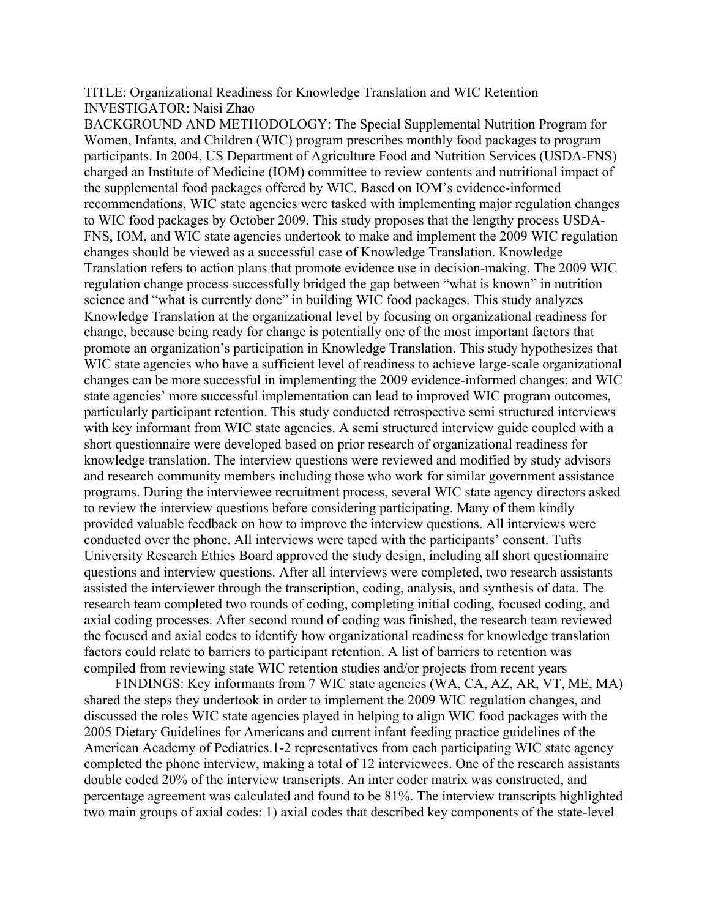TITLE: Organizational Readiness for Knowledge Translation and WIC Retention INVESTIGATOR: Naisi Zhao

BACKGROUND AND METHODOLOGY: The Special Supplemental Nutrition Program for Women, Infants, and Children (WIC) program prescribes monthly food packages to program participants. In 2004, US Department of Agriculture Food and Nutrition Services (USDA-FNS) charged an Institute of Medicine (IOM) committee to review contents and nutritional impact of the supplemental food packages offered by WIC. Based on IOM's evidence-informed recommendations, WIC state agencies were tasked with implementing major regulation changes to WIC food packages by October 2009. This study proposes that the lengthy process USDA-FNS, IOM, and WIC state agencies undertook to make and implement the 2009 WIC regulation changes should be viewed as a successful case of Knowledge Translation. Knowledge Translation refers to action plans that promote evidence use in decision-making. The 2009 WIC regulation change process successfully bridged the gap between "what is known" in nutrition science and "what is currently done" in building WIC food packages. This study analyzes Knowledge Translation at the organizational level by focusing on organizational readiness for change, because being ready for change is potentially one of the most important factors that promote an organization's participation in Knowledge Translation. This study hypothesizes that WIC state agencies who have a sufficient level of readiness to achieve large-scale organizational changes can be more successful in implementing the 2009 evidence-informed changes; and WIC state agencies' more successful implementation can lead to improved WIC program outcomes, particularly participant retention. This study conducted retrospective semi structured interviews with key informant from WIC state agencies. A semi structured interview guide coupled with a short questionnaire were developed based on prior research of organizational readiness for knowledge translation. The interview questions were reviewed and modified by study advisors and research community members including those who work for similar government assistance programs. During the interviewee recruitment process, several WIC state agency directors asked to review the interview questions before considering participating. Many of them kindly provided valuable feedback on how to improve the interview questions. All interviews were conducted over the phone. All interviews were taped with the participants' consent. Tufts University Research Ethics Board approved the study design, including all short questionnaire questions and interview questions. After all interviews were completed, two research assistants assisted the interviewer through the transcription, coding, analysis, and synthesis of data. The research team completed two rounds of coding, completing initial coding, focused coding, and axial coding processes. After second round of coding was finished, the research team reviewed the focused and axial codes to identify how organizational readiness for knowledge translation factors could relate to barriers to participant retention. A list of barriers to retention was compiled from reviewing state WIC retention studies and/or projects from recent years

FINDINGS: Key informants from 7 WIC state agencies (WA, CA, AZ, AR, VT, ME, MA) shared the steps they undertook in order to implement the 2009 WIC regulation changes, and discussed the roles WIC state agencies played in helping to align WIC food packages with the 2005 Dietary Guidelines for Americans and current infant feeding practice guidelines of the American Academy of Pediatrics.1-2 representatives from each participating WIC state agency completed the phone interview, making a total of 12 interviewees. One of the research assistants double coded 20% of the interview transcripts. An inter coder matrix was constructed, and percentage agreement was calculated and found to be 81%. The interview transcripts highlighted two main groups of axial codes: 1) axial codes that described key components of the state-level